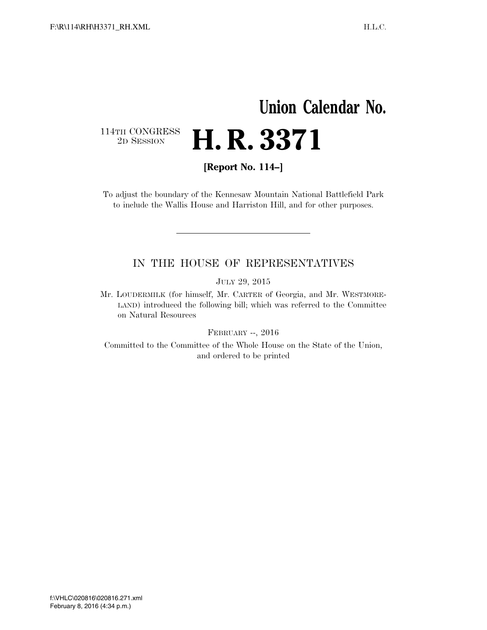# **Union Calendar No.**   $\begin{array}{c} \textbf{114TH CONGRESS} \\ \textbf{2D} \textbf{Session} \end{array}$ 2D SESSION **H. R. 3371**

**[Report No. 114–]** 

To adjust the boundary of the Kennesaw Mountain National Battlefield Park to include the Wallis House and Harriston Hill, and for other purposes.

#### IN THE HOUSE OF REPRESENTATIVES

JULY 29, 2015

Mr. LOUDERMILK (for himself, Mr. CARTER of Georgia, and Mr. WESTMORE-LAND) introduced the following bill; which was referred to the Committee on Natural Resources

FEBRUARY --, 2016

Committed to the Committee of the Whole House on the State of the Union, and ordered to be printed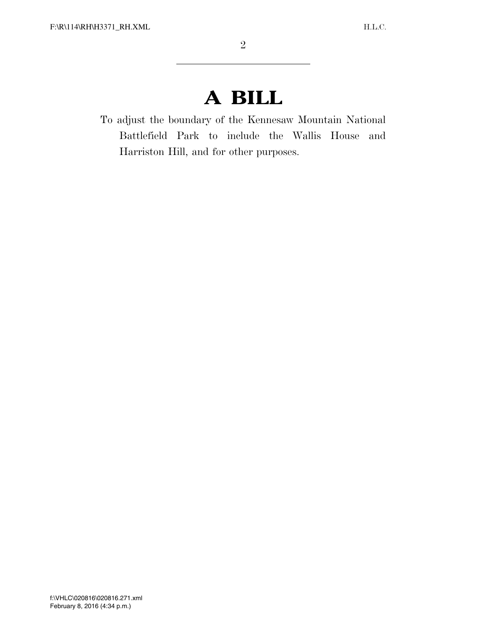# **A BILL**

To adjust the boundary of the Kennesaw Mountain National Battlefield Park to include the Wallis House and Harriston Hill, and for other purposes.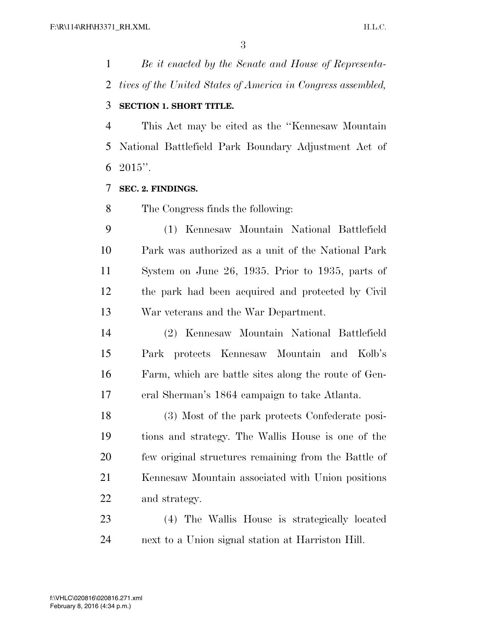*Be it enacted by the Senate and House of Representa- tives of the United States of America in Congress assembled,*  **SECTION 1. SHORT TITLE.** 

 This Act may be cited as the ''Kennesaw Mountain National Battlefield Park Boundary Adjustment Act of 6 ".

#### **SEC. 2. FINDINGS.**

The Congress finds the following:

 (1) Kennesaw Mountain National Battlefield Park was authorized as a unit of the National Park System on June 26, 1935. Prior to 1935, parts of the park had been acquired and protected by Civil War veterans and the War Department.

 (2) Kennesaw Mountain National Battlefield Park protects Kennesaw Mountain and Kolb's Farm, which are battle sites along the route of Gen-eral Sherman's 1864 campaign to take Atlanta.

 (3) Most of the park protects Confederate posi- tions and strategy. The Wallis House is one of the few original structures remaining from the Battle of Kennesaw Mountain associated with Union positions and strategy.

 (4) The Wallis House is strategically located next to a Union signal station at Harriston Hill.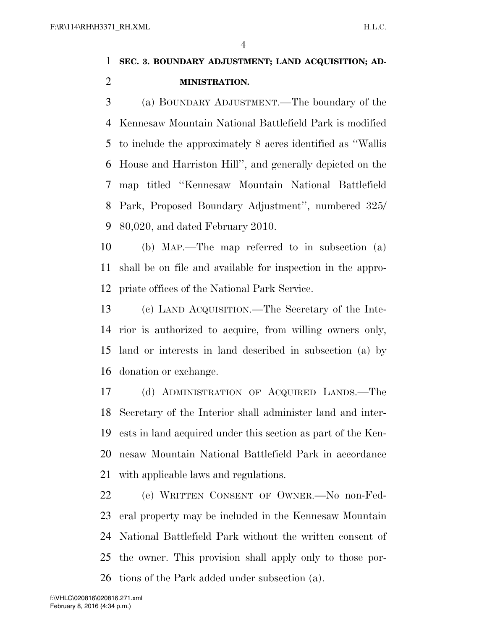### **SEC. 3. BOUNDARY ADJUSTMENT; LAND ACQUISITION; AD-MINISTRATION.**

 (a) BOUNDARY ADJUSTMENT.—The boundary of the Kennesaw Mountain National Battlefield Park is modified to include the approximately 8 acres identified as ''Wallis House and Harriston Hill'', and generally depicted on the map titled ''Kennesaw Mountain National Battlefield Park, Proposed Boundary Adjustment'', numbered 325/ 80,020, and dated February 2010.

 (b) MAP.—The map referred to in subsection (a) shall be on file and available for inspection in the appro-priate offices of the National Park Service.

 (c) LAND ACQUISITION.—The Secretary of the Inte- rior is authorized to acquire, from willing owners only, land or interests in land described in subsection (a) by donation or exchange.

 (d) ADMINISTRATION OF ACQUIRED LANDS.—The Secretary of the Interior shall administer land and inter- ests in land acquired under this section as part of the Ken- nesaw Mountain National Battlefield Park in accordance with applicable laws and regulations.

 (e) WRITTEN CONSENT OF OWNER.—No non-Fed- eral property may be included in the Kennesaw Mountain National Battlefield Park without the written consent of the owner. This provision shall apply only to those por-tions of the Park added under subsection (a).

February 8, 2016 (4:34 p.m.) f:\VHLC\020816\020816.271.xml